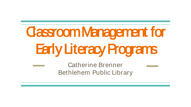## Classroom Management for Early Literacy Programs

Catherine Brenner Bethlehem Public Library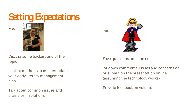

Me:



Discuss some background of the topic

Look at methods to create/update your early literacy management plan

Talk about common issues and brainstorm solutions

You:



#### Save questions until the end

Jot down comments, issues and concerns on or submit on the presentation online (assuming the technology works)

Provide feedback on volume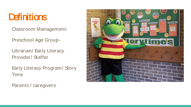#### **Definitions**

Classroom Management-

Preschool Age Group-

Librarian/ Early Literacy Provider/ Staffer

Early Literacy Program/ Story Time

Parents / caregivers

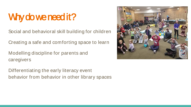## Why do we need it?

Social and behavioral skill building for children

Creating a safe and comforting space to learn

Modelling discipline for parents and caregivers

Differentiating the early literacy event behavior from behavior in other library spaces

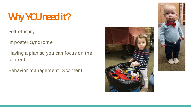## Why YOU need it?

Self-efficacy

Imposter Syndrome

Having a plan so you can focus on the content

Behavior management IS content



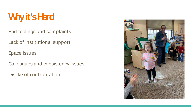## Why it's Hard

Bad feelings and complaints

Lack of institutional support

Space issues

Colleagues and consistency issues

Dislike of confrontation

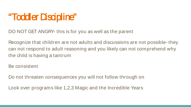#### "Toddler Discipline"

DO NOT GET ANGRY- this is for you as well as the parent

Recognize that children are not adults and discussions are not possible- they can not respond to adult reasoning and you likely can not comprehend why the child is having a tantrum

Be consistent

Do not threaten consequences you will not follow through on

Look over programs like 1,2,3 Magic and the Incredible Years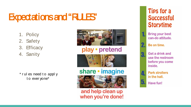#### Expectations and "RULES"

- 1. Policy
- 2. Safety
- 3. Efficacy
- 4. Sanity

\* r ul es need t o appl y t o ever yone\*



#### play · pretend



#### share • imagine



and help clean up when you're done!

#### Tips for a **Successful Storytime**

**Bring your best** can-do attitude.

#### Be on time.

Get a drink and 3. use the restroom before you come inside.



**Park strollers** in the hall.

Have fun!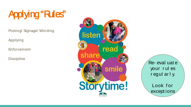## Applying "Rules"

Posting/ Signage/ Wording

Applying

**Enforcement** 

**Discipline** 



Re- eval uat e your r ul es r egul ar l y.

Look for except ions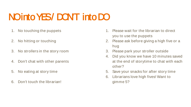#### NOinto YES/DONT into DO

- 1. No touching the puppets
- 2. No hitting or touching
- 3. No strollers in the story room
- 4. Don't chat with other parents
- 5. No eating at story time
- 6. Don't touch the librarian!
- 1. Please wait for the librarian to direct you to use the puppets
- 2. Please ask before giving a high five or a hug
- 3. Please park your stroller outside
- 4. Did you know we have 10 minutes saved at the end of storytime to chat with each other?
- 5. Save your snacks for after story time
- 6. Librarians love high fives! Want to gimme 5?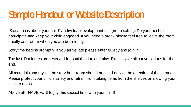#### Sample Handout or Website Description

Storytime is about your child's individual development in a group setting. Do your best to participate and keep your child engaged. If you need a break please feel free to leave the room quietly and return when you are both ready.

Storytime begins promptly. If you arrive late please enter quietly and join in.

The last 10 minutes are reserved for socialization and play. Please save all conversations for the end.

All materials and toys in the story hour room should be used only at the direction of the librarian. Please protect your child's safety and refrain from taking items from the shelves or allowing your child to do so.

Above all - HAVE FUN! Enjoy this special time with your child!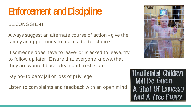#### Enforcement and Discipline

#### BE CONSISTENT

Always suggest an alternate course of action - give the family an opportunity to make a better choice

If someone does have to leave- or is asked to leave, try to follow up later. Ensure that everyone knows, that they are wanted back- clean and fresh slate.

Say no- to baby jail or loss of privilege

Listen to complaints and feedback with an open mind



**Unattended Children** Will Be Given A Shot Of Espresso A Free Pu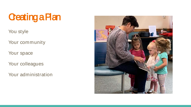## **Creating a Plan**

You style

Your community

Your space

Your colleagues

Your administration

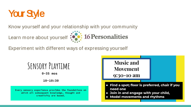

Know yourself and your relationship with your community



Experiment with different ways of expressing yourself

## SENSORY PLAYTIME

 $0-35$  mos

 $10 - 10:30$ 

Every sensory experience provides the foundations on which all subsequent knowledge, thought and creativity are based.

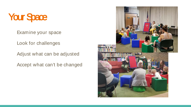#### **Your Space**

Examine your space

Look for challenges

Adjust what can be adjusted

Accept what can't be changed

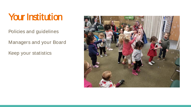#### Your Institution

Policies and guidelines

Managers and your Board

Keep your statistics

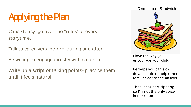## Applying the Plan

Consistency- go over the "rules" at every storytime.

Talk to caregivers, before, during and after

Be willing to engage directly with children

Write up a script or talking points- practice them until it feels natural.

# Compliment Sandwich

I love the way you encourage your child

Perhaps you can slow down a little to help other families get to the answer

Thanks for participating so I'm not the only voice in the room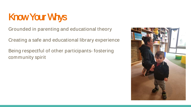## Know Your Whys

Grounded in parenting and educational theory

Creating a safe and educational library experience

Being respectful of other participants- fostering community spirit

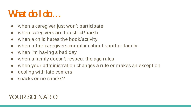#### What do I do...

- when a caregiver just won't participate
- when caregivers are too strict/harsh
- when a child hates the book/activity
- when other caregivers complain about another family
- when I'm having a bad day
- when a family doesn't respect the age rules
- when your administration changes a rule or makes an exception
- dealing with late comers
- snacks or no snacks?

#### YOUR SCENARIO